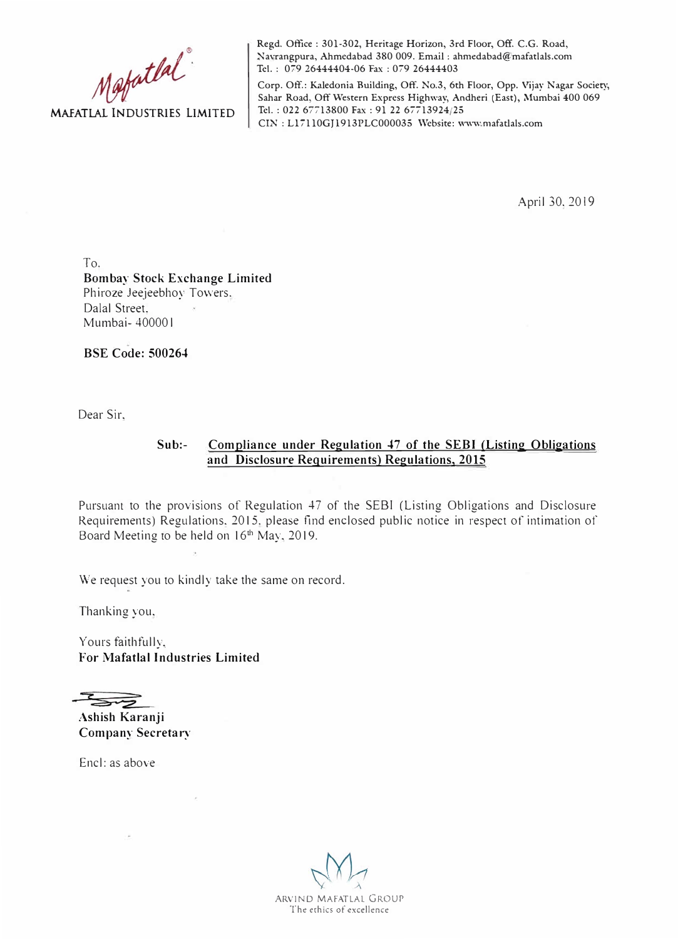

**Regd. Office : 301-302, Heritage Horizon, 3rd Floor, Off. C.G. Road, Navrangpura, Ahmedabad 380 009. Email: ahmedabad@mafatlals.com Tel. : 079 26444404-06 Fax : 079 26444403** 

**Corp. Off.: Kaledonia Building, Off. No.3, 6th Floor, Opp. Vijay Nagar Society,**  Sahar Road, Off Western Express Highway, Andheri (East), Mumbai 400 069 **Tel.: 022 67713800 Fax : 91 22 67713924/25 CIN : Ll 7110GJ1913PLC000035 Website: www.rnafatlals.com** 

April 30, 2019

To. **Bombay Stock Exchange Limited**  Phiroze Jeejeebhoy Towers, Dalal Street, Mumbai- 40000 l

**BSE Code: 500264** 

Dear Sir,

## **Sub:- Compliance under Regulation 47 of the SEBI (Listing Obligations and Disclosure Requirements) Regulations, 2015**

Pursuant to the provisions of Regulation 47 of the SEBI (Listing Obligations and Disclosure Requirements) Regulations. 2015. please find enclosed public notice in respect of intimation of Board Meeting to be held on 16<sup>th</sup> May, 2019.

We request you to kindly take the same on record.

Thanking you,

Yours faithfully, **For Mafatlal Industries Limited** 

**Ashish Karanji** 

**Company Secretary** 

Encl: as above

ARVIND MAFATLAL GROUP The erhics of excellence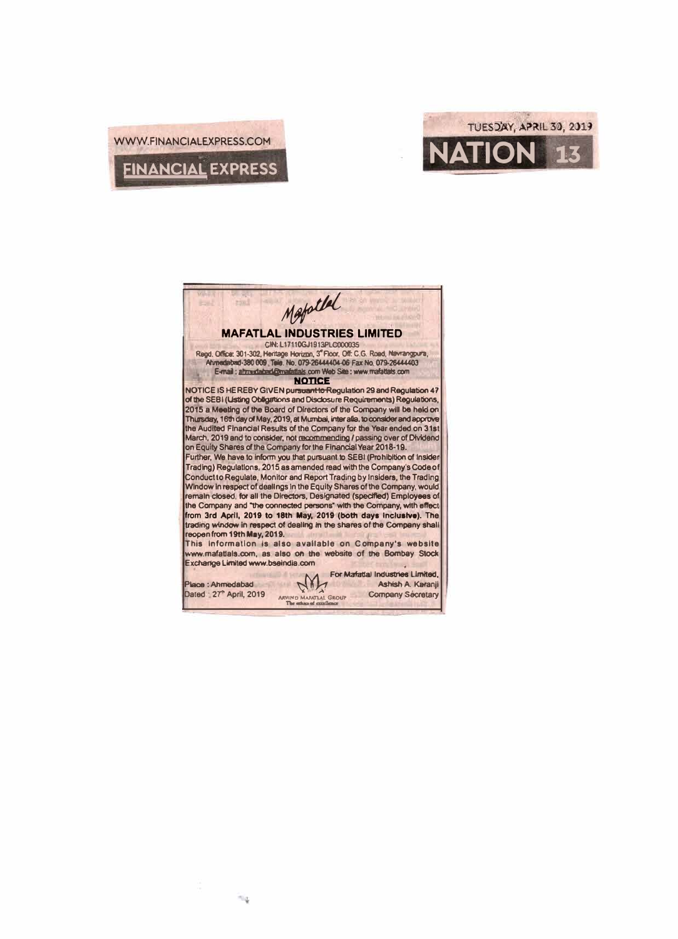



Mapollal **Fixed MAFATLAL INDUSTRIES LIMITED** CIN: L17110GJ1913PLC000035 Regd. Office: 301-302, Heritage Horizon, 3" Floor, Off: C.G. Road, Navrangpura, Ahmediabed-380 009. Tele. No. 079-264444404-06 Fax No. 079-26444403 E-mail: ahmediabad@madatlals.com Web Site: www.mafattals.com **NOTICE** NOTICE IS HEREBY GIVEN pursuant to Regulation 29 and Regulation 47 of the SEBI (Usting Obligations and Disclosure Requirements) Regulations, 2015 a Meeting of the Board of Directors of the Company will be held on Thursday, 16th day of May, 2019, at Mumbai, inter alia, to consider and approve the Audited Financial Results of the Company for the Year ended on 31st March, 2019 and to consider, not recommending / passing over of Dividend on Equity Shares of the Company for the Financial Year 2018-19. Further, We have to inform you that pursuant to SEBI (Prohibition of Insider Trading) Regulations, 2015 as amended read with the Company's Code of Conduct to Regulate, Monitor and Report Trading by Insiders, the Trading Window in respect of dealings in the Equity Shares of the Company, would remain closed, for all the Directors, Designated (specified) Employees of the Company and "the connected persons" with the Company, with effect from 3rd April, 2019 to 18th May, 2019 (both days inclusive). The trading window in respect of dealing in the shares of the Company shall reopen from 19th May, 2019. This Information is also available on Company's website www.mafatlals.com, as also on the website of the Bombay Stock Exchange Limited www.bseindia.com For Mafatlal Industries Limited. M Place: Ahmedabad Ashish A. Karanji **SCENT** Dated : 27<sup>\*</sup> April, 2019 **Company Secretary** ARVIN'D MARCTLAL GROUP

 $\approx$